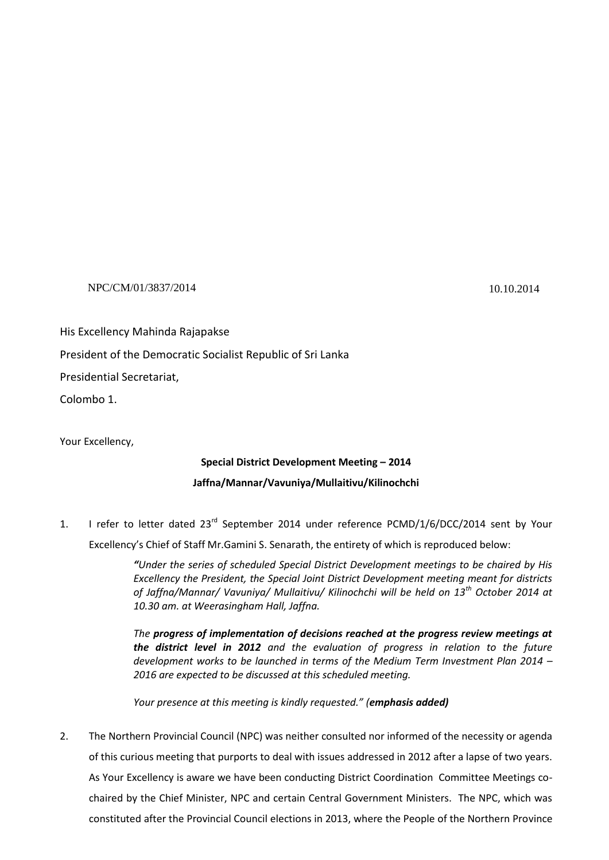## NPC/CM/01/3837/2014 10.10.2014

His Excellency Mahinda Rajapakse

President of the Democratic Socialist Republic of Sri Lanka

Presidential Secretariat,

Colombo 1.

Your Excellency,

## **Special District Development Meeting – 2014**

## **Jaffna/Mannar/Vavuniya/Mullaitivu/Kilinochchi**

1. I refer to letter dated 23<sup>rd</sup> September 2014 under reference PCMD/1/6/DCC/2014 sent by Your

Excellency's Chief of Staff Mr.Gamini S. Senarath, the entirety of which is reproduced below:

*"Under the series of scheduled Special District Development meetings to be chaired by His Excellency the President, the Special Joint District Development meeting meant for districts of Jaffna/Mannar/ Vavuniya/ Mullaitivu/ Kilinochchi will be held on 13th October 2014 at 10.30 am. at Weerasingham Hall, Jaffna.*

*The progress of implementation of decisions reached at the progress review meetings at the district level in 2012 and the evaluation of progress in relation to the future development works to be launched in terms of the Medium Term Investment Plan 2014 – 2016 are expected to be discussed at this scheduled meeting.*

*Your presence at this meeting is kindly requested." (emphasis added)*

2. The Northern Provincial Council (NPC) was neither consulted nor informed of the necessity or agenda of this curious meeting that purports to deal with issues addressed in 2012 after a lapse of two years. As Your Excellency is aware we have been conducting District Coordination Committee Meetings cochaired by the Chief Minister, NPC and certain Central Government Ministers. The NPC, which was constituted after the Provincial Council elections in 2013, where the People of the Northern Province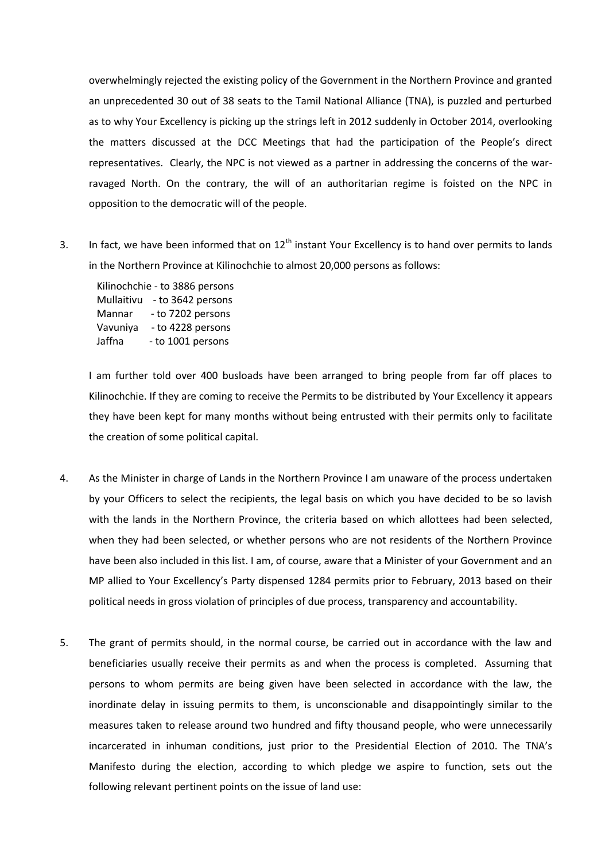overwhelmingly rejected the existing policy of the Government in the Northern Province and granted an unprecedented 30 out of 38 seats to the Tamil National Alliance (TNA), is puzzled and perturbed as to why Your Excellency is picking up the strings left in 2012 suddenly in October 2014, overlooking the matters discussed at the DCC Meetings that had the participation of the People's direct representatives. Clearly, the NPC is not viewed as a partner in addressing the concerns of the warravaged North. On the contrary, the will of an authoritarian regime is foisted on the NPC in opposition to the democratic will of the people.

3. In fact, we have been informed that on  $12<sup>th</sup>$  instant Your Excellency is to hand over permits to lands in the Northern Province at Kilinochchie to almost 20,000 persons as follows:

Kilinochchie - to 3886 persons Mullaitivu - to 3642 persons Mannar - to 7202 persons Vavuniya - to 4228 persons Jaffna - to 1001 persons

I am further told over 400 busloads have been arranged to bring people from far off places to Kilinochchie. If they are coming to receive the Permits to be distributed by Your Excellency it appears they have been kept for many months without being entrusted with their permits only to facilitate the creation of some political capital.

- 4. As the Minister in charge of Lands in the Northern Province I am unaware of the process undertaken by your Officers to select the recipients, the legal basis on which you have decided to be so lavish with the lands in the Northern Province, the criteria based on which allottees had been selected, when they had been selected, or whether persons who are not residents of the Northern Province have been also included in this list. I am, of course, aware that a Minister of your Government and an MP allied to Your Excellency's Party dispensed 1284 permits prior to February, 2013 based on their political needs in gross violation of principles of due process, transparency and accountability.
- 5. The grant of permits should, in the normal course, be carried out in accordance with the law and beneficiaries usually receive their permits as and when the process is completed. Assuming that persons to whom permits are being given have been selected in accordance with the law, the inordinate delay in issuing permits to them, is unconscionable and disappointingly similar to the measures taken to release around two hundred and fifty thousand people, who were unnecessarily incarcerated in inhuman conditions, just prior to the Presidential Election of 2010. The TNA's Manifesto during the election, according to which pledge we aspire to function, sets out the following relevant pertinent points on the issue of land use: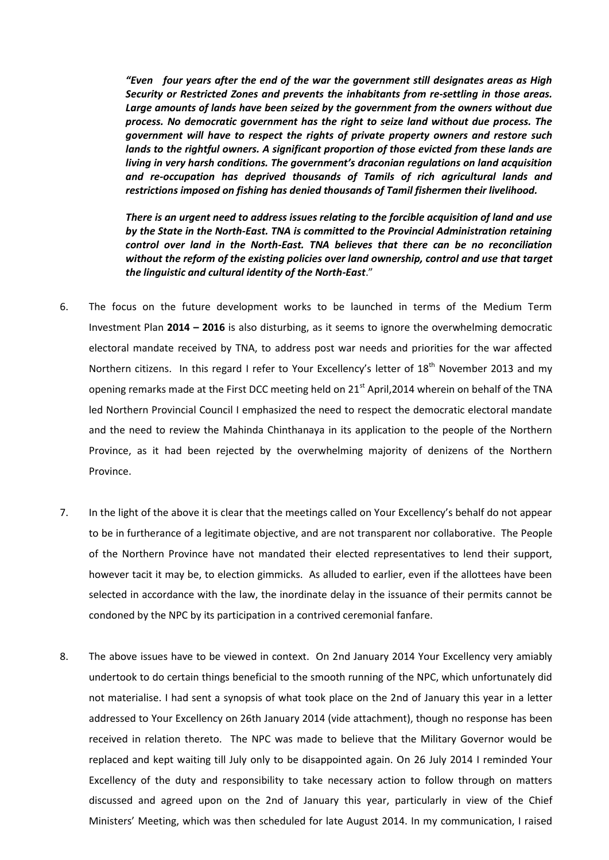*"Even four years after the end of the war the government still designates areas as High Security or Restricted Zones and prevents the inhabitants from re-settling in those areas. Large amounts of lands have been seized by the government from the owners without due process. No democratic government has the right to seize land without due process. The government will have to respect the rights of private property owners and restore such lands to the rightful owners. A significant proportion of those evicted from these lands are living in very harsh conditions. The government's draconian regulations on land acquisition and re-occupation has deprived thousands of Tamils of rich agricultural lands and restrictions imposed on fishing has denied thousands of Tamil fishermen their livelihood.*

*There is an urgent need to address issues relating to the forcible acquisition of land and use by the State in the North-East. TNA is committed to the Provincial Administration retaining control over land in the North-East. TNA believes that there can be no reconciliation without the reform of the existing policies over land ownership, control and use that target the linguistic and cultural identity of the North-East*."

- 6. The focus on the future development works to be launched in terms of the Medium Term Investment Plan **2014 – 2016** is also disturbing, as it seems to ignore the overwhelming democratic electoral mandate received by TNA, to address post war needs and priorities for the war affected Northern citizens. In this regard I refer to Your Excellency's letter of 18<sup>th</sup> November 2013 and my opening remarks made at the First DCC meeting held on 21<sup>st</sup> April, 2014 wherein on behalf of the TNA led Northern Provincial Council I emphasized the need to respect the democratic electoral mandate and the need to review the Mahinda Chinthanaya in its application to the people of the Northern Province, as it had been rejected by the overwhelming majority of denizens of the Northern Province.
- 7. In the light of the above it is clear that the meetings called on Your Excellency's behalf do not appear to be in furtherance of a legitimate objective, and are not transparent nor collaborative. The People of the Northern Province have not mandated their elected representatives to lend their support, however tacit it may be, to election gimmicks. As alluded to earlier, even if the allottees have been selected in accordance with the law, the inordinate delay in the issuance of their permits cannot be condoned by the NPC by its participation in a contrived ceremonial fanfare.
- 8. The above issues have to be viewed in context. On 2nd January 2014 Your Excellency very amiably undertook to do certain things beneficial to the smooth running of the NPC, which unfortunately did not materialise. I had sent a synopsis of what took place on the 2nd of January this year in a letter addressed to Your Excellency on 26th January 2014 (vide attachment), though no response has been received in relation thereto. The NPC was made to believe that the Military Governor would be replaced and kept waiting till July only to be disappointed again. On 26 July 2014 I reminded Your Excellency of the duty and responsibility to take necessary action to follow through on matters discussed and agreed upon on the 2nd of January this year, particularly in view of the Chief Ministers' Meeting, which was then scheduled for late August 2014. In my communication, I raised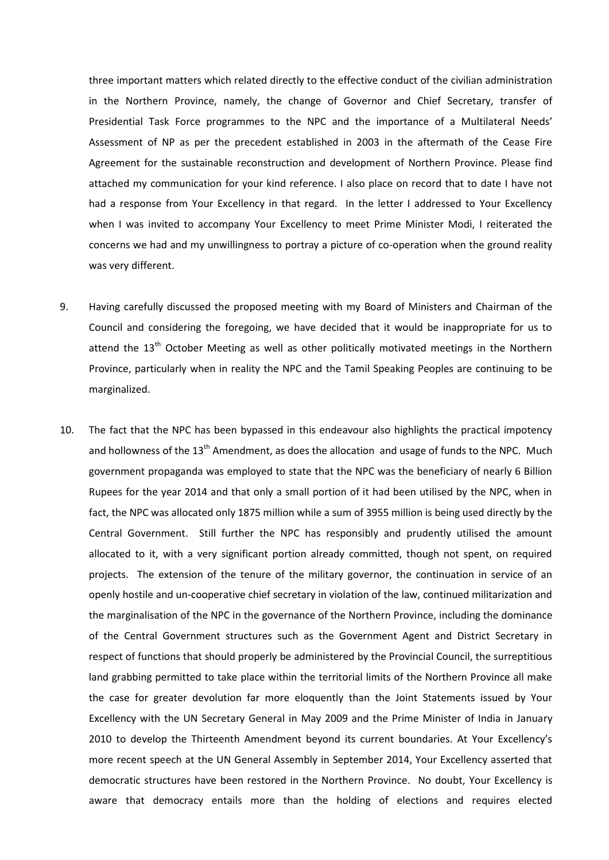three important matters which related directly to the effective conduct of the civilian administration in the Northern Province, namely, the change of Governor and Chief Secretary, transfer of Presidential Task Force programmes to the NPC and the importance of a Multilateral Needs' Assessment of NP as per the precedent established in 2003 in the aftermath of the Cease Fire Agreement for the sustainable reconstruction and development of Northern Province. Please find attached my communication for your kind reference. I also place on record that to date I have not had a response from Your Excellency in that regard. In the letter I addressed to Your Excellency when I was invited to accompany Your Excellency to meet Prime Minister Modi, I reiterated the concerns we had and my unwillingness to portray a picture of co-operation when the ground reality was very different.

- 9. Having carefully discussed the proposed meeting with my Board of Ministers and Chairman of the Council and considering the foregoing, we have decided that it would be inappropriate for us to attend the 13<sup>th</sup> October Meeting as well as other politically motivated meetings in the Northern Province, particularly when in reality the NPC and the Tamil Speaking Peoples are continuing to be marginalized.
- 10. The fact that the NPC has been bypassed in this endeavour also highlights the practical impotency and hollowness of the  $13<sup>th</sup>$  Amendment, as does the allocation and usage of funds to the NPC. Much government propaganda was employed to state that the NPC was the beneficiary of nearly 6 Billion Rupees for the year 2014 and that only a small portion of it had been utilised by the NPC, when in fact, the NPC was allocated only 1875 million while a sum of 3955 million is being used directly by the Central Government. Still further the NPC has responsibly and prudently utilised the amount allocated to it, with a very significant portion already committed, though not spent, on required projects. The extension of the tenure of the military governor, the continuation in service of an openly hostile and un-cooperative chief secretary in violation of the law, continued militarization and the marginalisation of the NPC in the governance of the Northern Province, including the dominance of the Central Government structures such as the Government Agent and District Secretary in respect of functions that should properly be administered by the Provincial Council, the surreptitious land grabbing permitted to take place within the territorial limits of the Northern Province all make the case for greater devolution far more eloquently than the Joint Statements issued by Your Excellency with the UN Secretary General in May 2009 and the Prime Minister of India in January 2010 to develop the Thirteenth Amendment beyond its current boundaries. At Your Excellency's more recent speech at the UN General Assembly in September 2014, Your Excellency asserted that democratic structures have been restored in the Northern Province. No doubt, Your Excellency is aware that democracy entails more than the holding of elections and requires elected